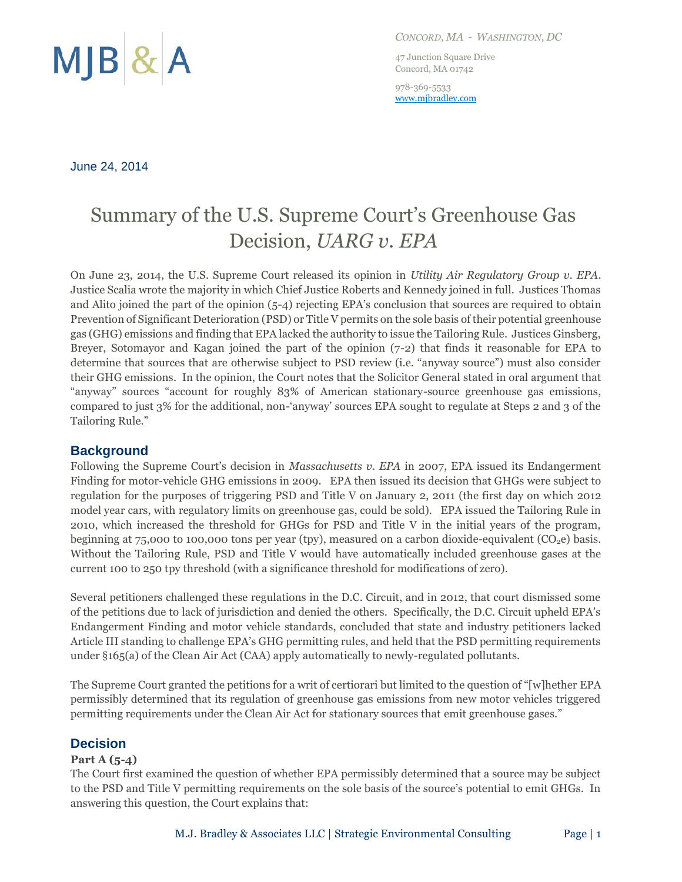

*CONCORD, MA - WASHINGTON, DC*

47 Junction Square Drive Concord, MA 01742

978-369-5533 www.mjbradley.com

#### June 24, 2014

# Summary of the U.S. Supreme Court's Greenhouse Gas Decision, *UARG v. EPA*

On June 23, 2014, the U.S. Supreme Court released its opinion in *Utility Air Regulatory Group v. EPA*. Justice Scalia wrote the majority in which Chief Justice Roberts and Kennedy joined in full. Justices Thomas and Alito joined the part of the opinion (5-4) rejecting EPA's conclusion that sources are required to obtain Prevention of Significant Deterioration (PSD) or Title V permits on the sole basis of their potential greenhouse gas (GHG) emissions and finding that EPA lacked the authority to issue the Tailoring Rule. Justices Ginsberg, Breyer, Sotomayor and Kagan joined the part of the opinion (7-2) that finds it reasonable for EPA to determine that sources that are otherwise subject to PSD review (i.e. "anyway source") must also consider their GHG emissions. In the opinion, the Court notes that the Solicitor General stated in oral argument that "anyway" sources "account for roughly 83% of American stationary-source greenhouse gas emissions, compared to just 3% for the additional, non-'anyway' sources EPA sought to regulate at Steps 2 and 3 of the Tailoring Rule."

# **Background**

Following the Supreme Court's decision in *Massachusetts v. EPA* in 2007, EPA issued its Endangerment Finding for motor-vehicle GHG emissions in 2009. EPA then issued its decision that GHGs were subject to regulation for the purposes of triggering PSD and Title V on January 2, 2011 (the first day on which 2012 model year cars, with regulatory limits on greenhouse gas, could be sold). EPA issued the Tailoring Rule in 2010, which increased the threshold for GHGs for PSD and Title V in the initial years of the program, beginning at 75,000 to 100,000 tons per year (tpy), measured on a carbon dioxide-equivalent (CO<sub>2</sub>e) basis. Without the Tailoring Rule, PSD and Title V would have automatically included greenhouse gases at the current 100 to 250 tpy threshold (with a significance threshold for modifications of zero).

Several petitioners challenged these regulations in the D.C. Circuit, and in 2012, that court dismissed some of the petitions due to lack of jurisdiction and denied the others. Specifically, the D.C. Circuit upheld EPA's Endangerment Finding and motor vehicle standards, concluded that state and industry petitioners lacked Article III standing to challenge EPA's GHG permitting rules, and held that the PSD permitting requirements under §165(a) of the Clean Air Act (CAA) apply automatically to newly-regulated pollutants.

The Supreme Court granted the petitions for a writ of certiorari but limited to the question of "[w]hether EPA permissibly determined that its regulation of greenhouse gas emissions from new motor vehicles triggered permitting requirements under the Clean Air Act for stationary sources that emit greenhouse gases."

# **Decision**

### **Part A (5-4)**

The Court first examined the question of whether EPA permissibly determined that a source may be subject to the PSD and Title V permitting requirements on the sole basis of the source's potential to emit GHGs. In answering this question, the Court explains that: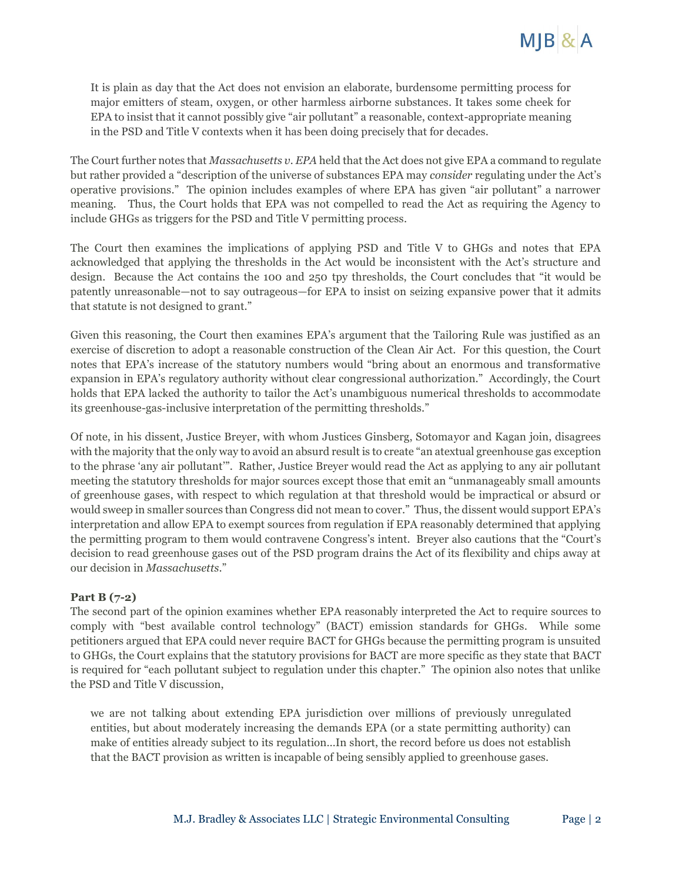

It is plain as day that the Act does not envision an elaborate, burdensome permitting process for major emitters of steam, oxygen, or other harmless airborne substances. It takes some cheek for EPA to insist that it cannot possibly give "air pollutant" a reasonable, context-appropriate meaning in the PSD and Title V contexts when it has been doing precisely that for decades.

The Court further notes that *Massachusetts v. EPA* held that the Act does not give EPA a command to regulate but rather provided a "description of the universe of substances EPA may *consider* regulating under the Act's operative provisions." The opinion includes examples of where EPA has given "air pollutant" a narrower meaning. Thus, the Court holds that EPA was not compelled to read the Act as requiring the Agency to include GHGs as triggers for the PSD and Title V permitting process.

The Court then examines the implications of applying PSD and Title V to GHGs and notes that EPA acknowledged that applying the thresholds in the Act would be inconsistent with the Act's structure and design. Because the Act contains the 100 and 250 tpy thresholds, the Court concludes that "it would be patently unreasonable—not to say outrageous—for EPA to insist on seizing expansive power that it admits that statute is not designed to grant."

Given this reasoning, the Court then examines EPA's argument that the Tailoring Rule was justified as an exercise of discretion to adopt a reasonable construction of the Clean Air Act. For this question, the Court notes that EPA's increase of the statutory numbers would "bring about an enormous and transformative expansion in EPA's regulatory authority without clear congressional authorization." Accordingly, the Court holds that EPA lacked the authority to tailor the Act's unambiguous numerical thresholds to accommodate its greenhouse-gas-inclusive interpretation of the permitting thresholds."

Of note, in his dissent, Justice Breyer, with whom Justices Ginsberg, Sotomayor and Kagan join, disagrees with the majority that the only way to avoid an absurd result is to create "an atextual greenhouse gas exception to the phrase 'any air pollutant'". Rather, Justice Breyer would read the Act as applying to any air pollutant meeting the statutory thresholds for major sources except those that emit an "unmanageably small amounts of greenhouse gases, with respect to which regulation at that threshold would be impractical or absurd or would sweep in smaller sources than Congress did not mean to cover." Thus, the dissent would support EPA's interpretation and allow EPA to exempt sources from regulation if EPA reasonably determined that applying the permitting program to them would contravene Congress's intent. Breyer also cautions that the "Court's decision to read greenhouse gases out of the PSD program drains the Act of its flexibility and chips away at our decision in *Massachusetts*."

#### **Part B (7-2)**

The second part of the opinion examines whether EPA reasonably interpreted the Act to require sources to comply with "best available control technology" (BACT) emission standards for GHGs. While some petitioners argued that EPA could never require BACT for GHGs because the permitting program is unsuited to GHGs, the Court explains that the statutory provisions for BACT are more specific as they state that BACT is required for "each pollutant subject to regulation under this chapter." The opinion also notes that unlike the PSD and Title V discussion,

we are not talking about extending EPA jurisdiction over millions of previously unregulated entities, but about moderately increasing the demands EPA (or a state permitting authority) can make of entities already subject to its regulation…In short, the record before us does not establish that the BACT provision as written is incapable of being sensibly applied to greenhouse gases.